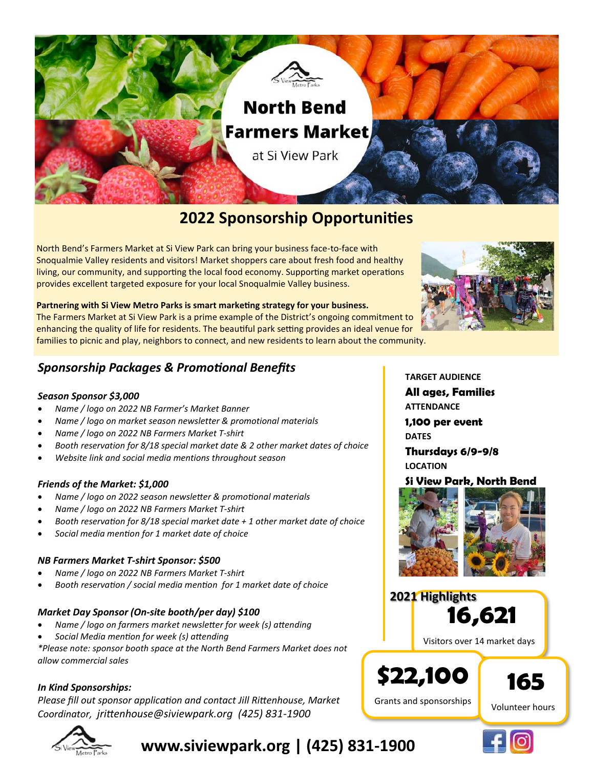

# **2022 Sponsorship Opportunities**

North Bend's Farmers Market at Si View Park can bring your business face-to-face with Snoqualmie Valley residents and visitors! Market shoppers care about fresh food and healthy living, our community, and supporting the local food economy. Supporting market operations provides excellent targeted exposure for your local Snoqualmie Valley business.

**Partnering with Si View Metro Parks is smart marketing strategy for your business.**

The Farmers Market at Si View Park is a prime example of the District's ongoing commitment to enhancing the quality of life for residents. The beautiful park setting provides an ideal venue for families to picnic and play, neighbors to connect, and new residents to learn about the community.



### *Sponsorship Packages & Promotional Benefits*

#### *Season Sponsor \$3,000*

- *Name / logo on 2022 NB Farmer's Market Banner*
- *Name / logo on market season newsletter & promotional materials*
- *Name / logo on 2022 NB Farmers Market T-shirt*
- *Booth reservation for 8/18 special market date & 2 other market dates of choice*
- *Website link and social media mentions throughout season*

#### *Friends of the Market: \$1,000*

- *Name / logo on 2022 season newsletter & promotional materials*
- *Name / logo on 2022 NB Farmers Market T-shirt*
- *Booth reservation for 8/18 special market date + 1 other market date of choice*
- *Social media mention for 1 market date of choice*

#### *NB Farmers Market T-shirt Sponsor: \$500*

- *Name / logo on 2022 NB Farmers Market T-shirt*
- *Booth reservation / social media mention for 1 market date of choice*

#### *Market Day Sponsor (On-site booth/per day) \$100*

- *Name / logo on farmers market newsletter for week (s) attending*
- *Social Media mention for week (s) attending*

*\*Please note: sponsor booth space at the North Bend Farmers Market does not allow commercial sales*

#### *In Kind Sponsorships:*

*Please fill out sponsor application and contact Jill Rittenhouse, Market Coordinator, jrittenhouse@siviewpark.org (425) 831-1900*



**www.siviewpark.org | (425) 831-1900**

**TARGET AUDIENCE All ages, Families**

**ATTENDANCE**

**1,100 per event DATES**

**Thursdays 6/9-9/8 LOCATION**

#### **Si View Park, North Bend**



**16,621 2021 Highlights**

Visitors over 14 market days

**165** 

Grants and sponsorships

**\$22,100**



Volunteer hours